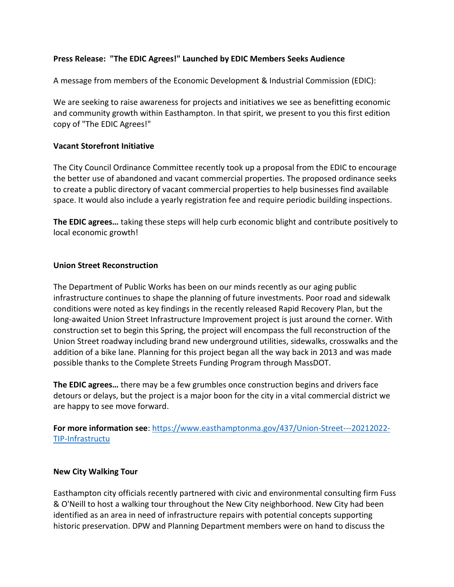## **Press Release: "The EDIC Agrees!" Launched by EDIC Members Seeks Audience**

A message from members of the Economic Development & Industrial Commission (EDIC):

We are seeking to raise awareness for projects and initiatives we see as benefitting economic and community growth within Easthampton. In that spirit, we present to you this first edition copy of "The EDIC Agrees!"

### **Vacant Storefront Initiative**

The City Council Ordinance Committee recently took up a proposal from the EDIC to encourage the better use of abandoned and vacant commercial properties. The proposed ordinance seeks to create a public directory of vacant commercial properties to help businesses find available space. It would also include a yearly registration fee and require periodic building inspections.

**The EDIC agrees…** taking these steps will help curb economic blight and contribute positively to local economic growth!

## **Union Street Reconstruction**

The Department of Public Works has been on our minds recently as our aging public infrastructure continues to shape the planning of future investments. Poor road and sidewalk conditions were noted as key findings in the recently released Rapid Recovery Plan, but the long-awaited Union Street Infrastructure Improvement project is just around the corner. With construction set to begin this Spring, the project will encompass the full reconstruction of the Union Street roadway including brand new underground utilities, sidewalks, crosswalks and the addition of a bike lane. Planning for this project began all the way back in 2013 and was made possible thanks to the Complete Streets Funding Program through MassDOT.

**The EDIC agrees…** there may be a few grumbles once construction begins and drivers face detours or delays, but the project is a major boon for the city in a vital commercial district we are happy to see move forward.

**For more information see**: [https://www.easthamptonma.gov/437/Union-Street---20212022-](https://www.easthamptonma.gov/437/Union-Street---20212022-TIP-Infrastructu) [TIP-Infrastructu](https://www.easthamptonma.gov/437/Union-Street---20212022-TIP-Infrastructu)

### **New City Walking Tour**

Easthampton city officials recently partnered with civic and environmental consulting firm Fuss & O'Neill to host a walking tour throughout the New City neighborhood. New City had been identified as an area in need of infrastructure repairs with potential concepts supporting historic preservation. DPW and Planning Department members were on hand to discuss the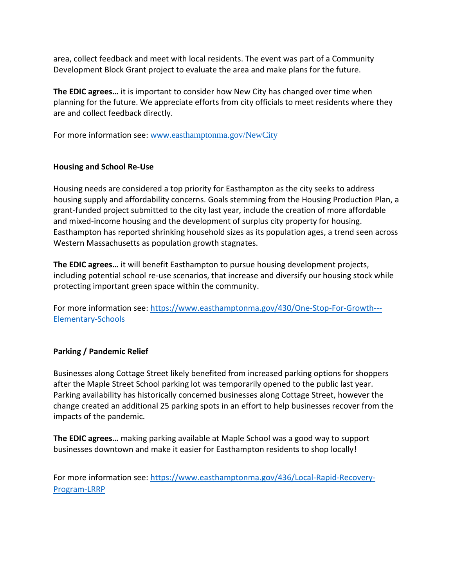area, collect feedback and meet with local residents. The event was part of a Community Development Block Grant project to evaluate the area and make plans for the future.

**The EDIC agrees…** it is important to consider how New City has changed over time when planning for the future. We appreciate efforts from city officials to meet residents where they are and collect feedback directly.

For more information see: www.[easthamptonma.gov/NewCity](http://www.easthamptonma.gov/NewCity)

# **Housing and School Re-Use**

Housing needs are considered a top priority for Easthampton as the city seeks to address housing supply and affordability concerns. Goals stemming from the Housing Production Plan, a grant-funded project submitted to the city last year, include the creation of more affordable and mixed-income housing and the development of surplus city property for housing. Easthampton has reported shrinking household sizes as its population ages, a trend seen across Western Massachusetts as population growth stagnates.

**The EDIC agrees…** it will benefit Easthampton to pursue housing development projects, including potential school re-use scenarios, that increase and diversify our housing stock while protecting important green space within the community.

For more information see: [https://www.easthamptonma.gov/430/One-Stop-For-Growth---](https://www.easthamptonma.gov/430/One-Stop-For-Growth---Elementary-Schools) [Elementary-Schools](https://www.easthamptonma.gov/430/One-Stop-For-Growth---Elementary-Schools)

# **Parking / Pandemic Relief**

Businesses along Cottage Street likely benefited from increased parking options for shoppers after the Maple Street School parking lot was temporarily opened to the public last year. Parking availability has historically concerned businesses along Cottage Street, however the change created an additional 25 parking spots in an effort to help businesses recover from the impacts of the pandemic.

**The EDIC agrees…** making parking available at Maple School was a good way to support businesses downtown and make it easier for Easthampton residents to shop locally!

For more information see: [https://www.easthamptonma.gov/436/Local-Rapid-Recovery-](https://www.easthamptonma.gov/436/Local-Rapid-Recovery-Program-LRRP)[Program-LRRP](https://www.easthamptonma.gov/436/Local-Rapid-Recovery-Program-LRRP)